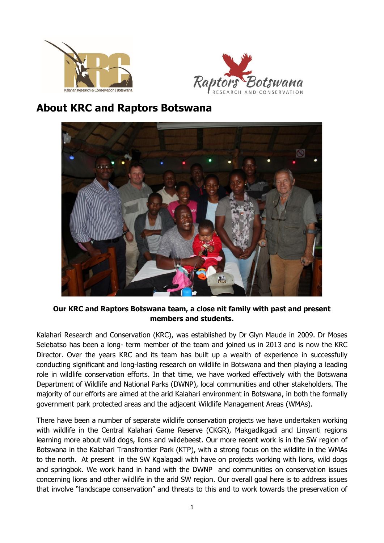



## **About KRC and Raptors Botswana**



**Our KRC and Raptors Botswana team, a close nit family with past and present members and students.**

Kalahari Research and Conservation (KRC), was established by Dr Glyn Maude in 2009. Dr Moses Selebatso has been a long- term member of the team and joined us in 2013 and is now the KRC Director. Over the years KRC and its team has built up a wealth of experience in successfully conducting significant and long-lasting research on wildlife in Botswana and then playing a leading role in wildlife conservation efforts. In that time, we have worked effectively with the Botswana Department of Wildlife and National Parks (DWNP), local communities and other stakeholders. The majority of our efforts are aimed at the arid Kalahari environment in Botswana, in both the formally government park protected areas and the adjacent Wildlife Management Areas (WMAs).

There have been a number of separate wildlife conservation projects we have undertaken working with wildlife in the Central Kalahari Game Reserve (CKGR), Makgadikgadi and Linyanti regions learning more about wild dogs, lions and wildebeest. Our more recent work is in the SW region of Botswana in the Kalahari Transfrontier Park (KTP), with a strong focus on the wildlife in the WMAs to the north. At present in the SW Kgalagadi with have on projects working with lions, wild dogs and springbok. We work hand in hand with the DWNP and communities on conservation issues concerning lions and other wildlife in the arid SW region. Our overall goal here is to address issues that involve "landscape conservation" and threats to this and to work towards the preservation of